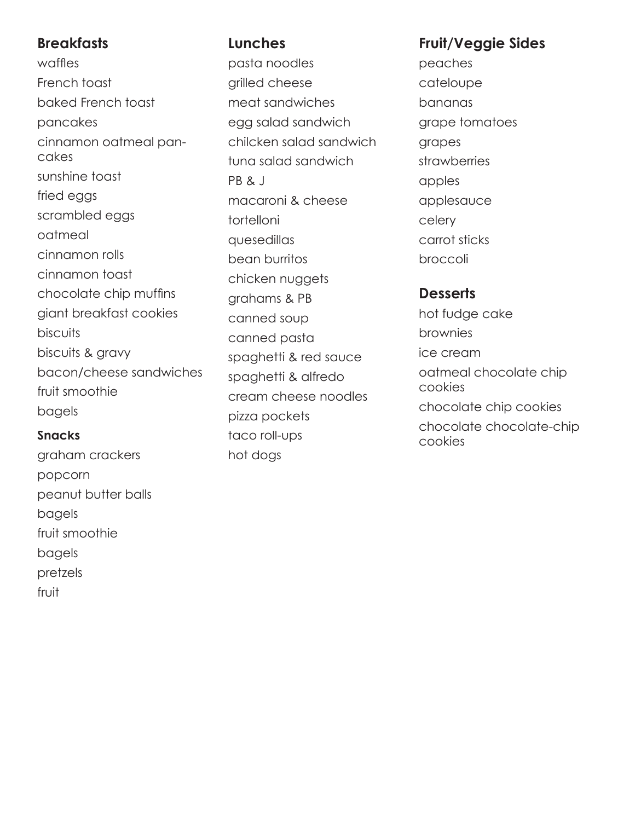## **Breakfasts**

waffles French toast baked French toast pancakes cinnamon oatmeal pancakes sunshine toast fried eggs scrambled eggs oatmeal cinnamon rolls cinnamon toast chocolate chip muffins giant breakfast cookies **biscuits** biscuits & gravy bacon/cheese sandwiches fruit smoothie bagels

#### **Snacks**

graham crackers popcorn peanut butter balls bagels fruit smoothie bagels pretzels fruit

## **Lunches**

pasta noodles grilled cheese meat sandwiches egg salad sandwich chilcken salad sandwich tuna salad sandwich PB & J macaroni & cheese tortelloni quesedillas bean burritos chicken nuggets grahams & PB canned soup canned pasta spaghetti & red sauce spaghetti & alfredo cream cheese noodles pizza pockets taco roll-ups hot dogs

# **Fruit/Veggie Sides**

peaches cateloupe bananas grape tomatoes grapes strawberries apples applesauce celery carrot sticks broccoli

### **Desserts**

hot fudge cake brownies ice cream oatmeal chocolate chip cookies chocolate chip cookies chocolate chocolate-chip cookies